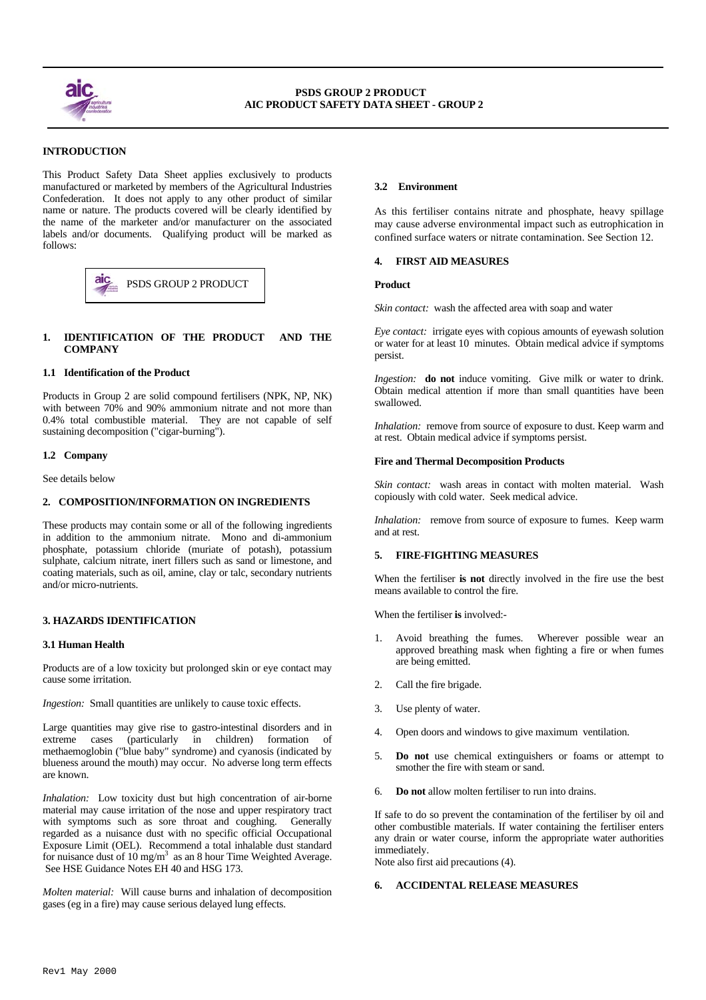

 $\overline{a}$ 

# **INTRODUCTION**

This Product Safety Data Sheet applies exclusively to products manufactured or marketed by members of the Agricultural Industries Confederation. It does not apply to any other product of similar name or nature. The products covered will be clearly identified by the name of the marketer and/or manufacturer on the associated labels and/or documents. Qualifying product will be marked as follows:



# **1. IDENTIFICATION OF THE PRODUCT AND THE COMPANY**

## **1.1 Identification of the Product**

Products in Group 2 are solid compound fertilisers (NPK, NP, NK) with between 70% and 90% ammonium nitrate and not more than 0.4% total combustible material. They are not capable of self sustaining decomposition ("cigar-burning").

## **1.2 Company**

See details below

## **2. COMPOSITION/INFORMATION ON INGREDIENTS**

These products may contain some or all of the following ingredients in addition to the ammonium nitrate. Mono and di-ammonium phosphate, potassium chloride (muriate of potash), potassium sulphate, calcium nitrate, inert fillers such as sand or limestone, and coating materials, such as oil, amine, clay or talc, secondary nutrients and/or micro-nutrients.

# **3. HAZARDS IDENTIFICATION**

#### **3.1 Human Health**

Products are of a low toxicity but prolonged skin or eye contact may cause some irritation.

*Ingestion:* Small quantities are unlikely to cause toxic effects.

Large quantities may give rise to gastro-intestinal disorders and in extreme cases (particularly in children) formation of methaemoglobin ("blue baby" syndrome) and cyanosis (indicated by blueness around the mouth) may occur. No adverse long term effects are known.

*Inhalation:* Low toxicity dust but high concentration of air-borne material may cause irritation of the nose and upper respiratory tract with symptoms such as sore throat and coughing. Generally regarded as a nuisance dust with no specific official Occupational Exposure Limit (OEL). Recommend a total inhalable dust standard for nuisance dust of 10 mg/m<sup>3</sup> as an 8 hour Time Weighted Average. See HSE Guidance Notes EH 40 and HSG 173.

*Molten material:* Will cause burns and inhalation of decomposition gases (eg in a fire) may cause serious delayed lung effects.

## **3.2 Environment**

As this fertiliser contains nitrate and phosphate, heavy spillage may cause adverse environmental impact such as eutrophication in confined surface waters or nitrate contamination. See Section 12.

#### **4. FIRST AID MEASURES**

*Skin contact:* wash the affected area with soap and water

*Eye contact:* irrigate eyes with copious amounts of eyewash solution or water for at least 10 minutes. Obtain medical advice if symptoms persist.

*Ingestion:* **do not** induce vomiting. Give milk or water to drink. Obtain medical attention if more than small quantities have been swallowed.

*Inhalation:* remove from source of exposure to dust. Keep warm and at rest. Obtain medical advice if symptoms persist.

## **Fire and Thermal Decomposition Products**

*Skin contact:* wash areas in contact with molten material. Wash copiously with cold water. Seek medical advice.

*Inhalation:* remove from source of exposure to fumes. Keep warm and at rest.

# **5. FIRE-FIGHTING MEASURES**

When the fertiliser **is not** directly involved in the fire use the best means available to control the fire.

When the fertiliser **is** involved:-

- Avoid breathing the fumes. Wherever possible wear an approved breathing mask when fighting a fire or when fumes are being emitted.
- 2. Call the fire brigade.
- 3. Use plenty of water.
- 4. Open doors and windows to give maximum ventilation.
- 5. **Do not** use chemical extinguishers or foams or attempt to smother the fire with steam or sand.
- 6. **Do not** allow molten fertiliser to run into drains.

If safe to do so prevent the contamination of the fertiliser by oil and other combustible materials. If water containing the fertiliser enters any drain or water course, inform the appropriate water authorities immediately.

Note also first aid precautions (4).

#### **6. ACCIDENTAL RELEASE MEASURES**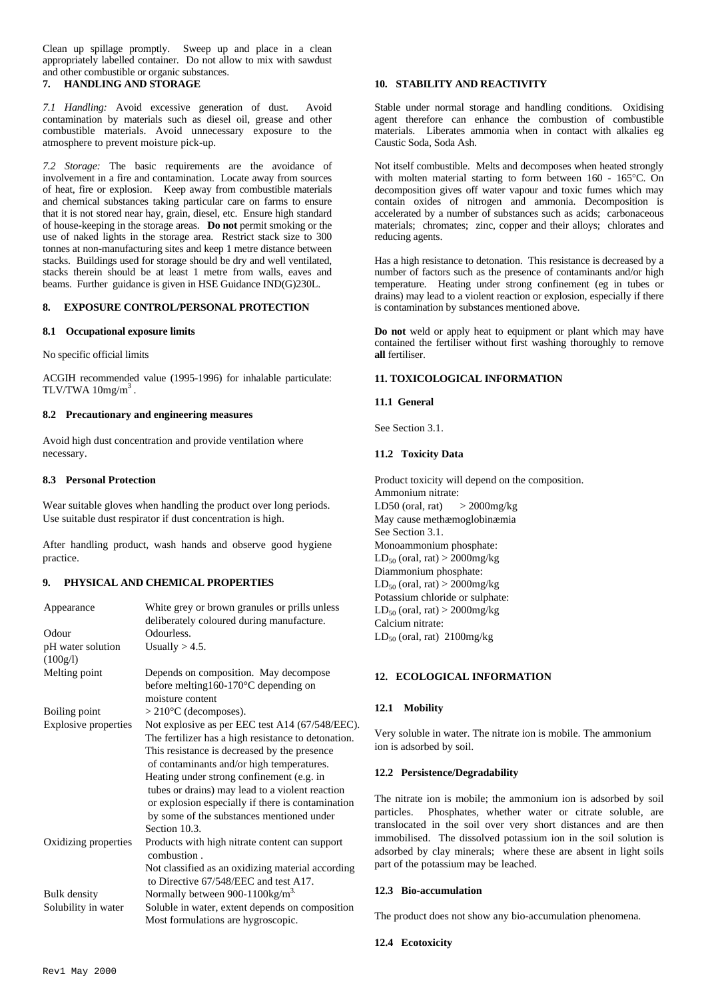Clean up spillage promptly. Sweep up and place in a clean appropriately labelled container. Do not allow to mix with sawdust and other combustible or organic substances.

# **7. HANDLING AND STORAGE**

*7.1 Handling:* Avoid excessive generation of dust. Avoid contamination by materials such as diesel oil, grease and other combustible materials. Avoid unnecessary exposure to the atmosphere to prevent moisture pick-up.

*7.2 Storage:* The basic requirements are the avoidance of involvement in a fire and contamination. Locate away from sources of heat, fire or explosion. Keep away from combustible materials and chemical substances taking particular care on farms to ensure that it is not stored near hay, grain, diesel, etc. Ensure high standard of house-keeping in the storage areas. **Do not** permit smoking or the use of naked lights in the storage area. Restrict stack size to 300 tonnes at non-manufacturing sites and keep 1 metre distance between stacks. Buildings used for storage should be dry and well ventilated, stacks therein should be at least 1 metre from walls, eaves and beams. Further guidance is given in HSE Guidance IND(G)230L.

# **8. EXPOSURE CONTROL/PERSONAL PROTECTION**

## **8.1 Occupational exposure limits**

No specific official limits

ACGIH recommended value (1995-1996) for inhalable particulate: TLV/TWA  $10$ mg/m<sup>3</sup>.

## **8.2 Precautionary and engineering measures**

Avoid high dust concentration and provide ventilation where necessary.

#### **8.3 Personal Protection**

Wear suitable gloves when handling the product over long periods. Use suitable dust respirator if dust concentration is high.

After handling product, wash hands and observe good hygiene practice.

# **9. PHYSICAL AND CHEMICAL PROPERTIES**

| Appearance           | White grey or brown granules or prills unless                 |
|----------------------|---------------------------------------------------------------|
|                      | deliberately coloured during manufacture.                     |
| Odour                | Odourless.                                                    |
| pH water solution    | Usually $> 4.5$ .                                             |
| (100g/l)             |                                                               |
| Melting point        | Depends on composition. May decompose                         |
|                      | before melting $160-170$ °C depending on                      |
|                      | moisture content                                              |
| Boiling point        | $>$ 210 $\rm{^{\circ}C}$ (decomposes).                        |
| Explosive properties | Not explosive as per EEC test A14 (67/548/EEC).               |
|                      | The fertilizer has a high resistance to detonation.           |
|                      | This resistance is decreased by the presence                  |
|                      | of contaminants and/or high temperatures.                     |
|                      | Heating under strong confinement (e.g. in                     |
|                      | tubes or drains) may lead to a violent reaction               |
|                      | or explosion especially if there is contamination             |
|                      | by some of the substances mentioned under                     |
|                      | Section 10.3.                                                 |
| Oxidizing properties | Products with high nitrate content can support<br>combustion. |
|                      | Not classified as an oxidizing material according             |
|                      | to Directive 67/548/EEC and test A17.                         |
| <b>Bulk</b> density  | Normally between 900-1100kg/m <sup>3.</sup>                   |
| Solubility in water  | Soluble in water, extent depends on composition               |
|                      | Most formulations are hygroscopic.                            |

# **10. STABILITY AND REACTIVITY**

Stable under normal storage and handling conditions. Oxidising agent therefore can enhance the combustion of combustible materials. Liberates ammonia when in contact with alkalies eg Caustic Soda, Soda Ash.

Not itself combustible. Melts and decomposes when heated strongly with molten material starting to form between 160 - 165°C. On decomposition gives off water vapour and toxic fumes which may contain oxides of nitrogen and ammonia. Decomposition is accelerated by a number of substances such as acids; carbonaceous materials; chromates; zinc, copper and their alloys; chlorates and reducing agents.

Has a high resistance to detonation. This resistance is decreased by a number of factors such as the presence of contaminants and/or high temperature. Heating under strong confinement (eg in tubes or drains) may lead to a violent reaction or explosion, especially if there is contamination by substances mentioned above.

**Do not** weld or apply heat to equipment or plant which may have contained the fertiliser without first washing thoroughly to remove **all** fertiliser.

#### **11. TOXICOLOGICAL INFORMATION**

#### **11.1 General**

See Section 3.1.

# **11.2 Toxicity Data**

Product toxicity will depend on the composition. Ammonium nitrate: LD50 (oral, rat)  $>$  2000mg/kg May cause methæmoglobinæmia See Section 3.1. Monoammonium phosphate:  $LD_{50}$  (oral, rat) > 2000mg/kg Diammonium phosphate:  $LD_{50}$  (oral, rat) > 2000mg/kg Potassium chloride or sulphate:  $LD_{50}$  (oral, rat) > 2000mg/kg Calcium nitrate:  $LD_{50}$  (oral, rat) 2100mg/kg

## **12. ECOLOGICAL INFORMATION**

## **12.1 Mobility**

Very soluble in water. The nitrate ion is mobile. The ammonium ion is adsorbed by soil.

# **12.2 Persistence/Degradability**

The nitrate ion is mobile; the ammonium ion is adsorbed by soil particles. Phosphates, whether water or citrate soluble, are translocated in the soil over very short distances and are then immobilised. The dissolved potassium ion in the soil solution is adsorbed by clay minerals; where these are absent in light soils part of the potassium may be leached.

## **12.3 Bio-accumulation**

The product does not show any bio-accumulation phenomena.

# **12.4 Ecotoxicity**